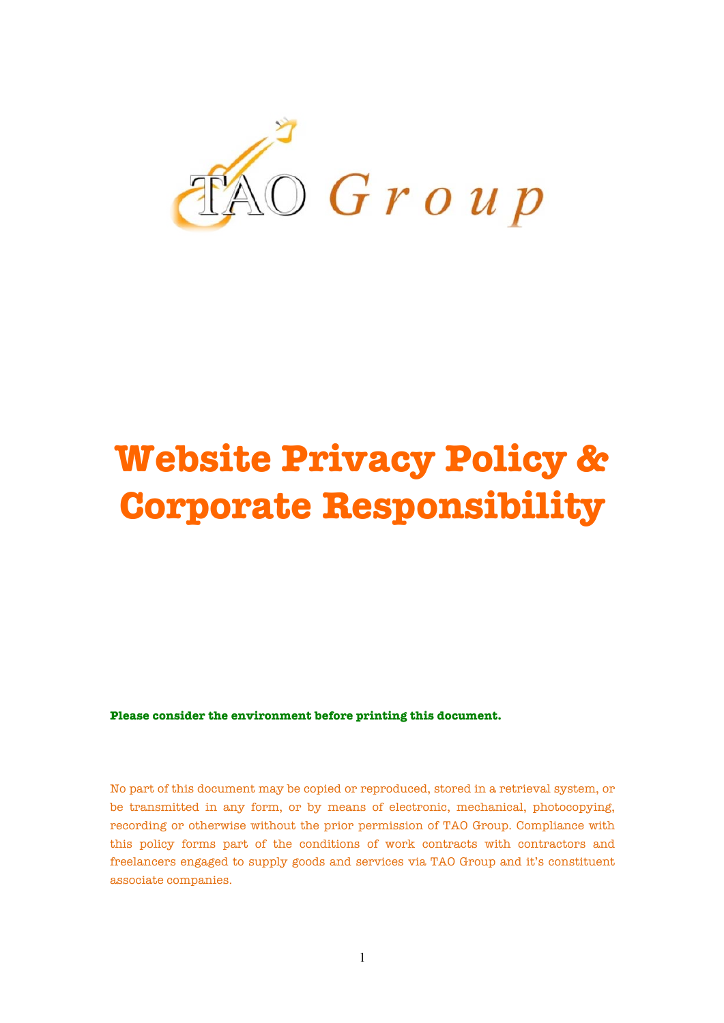

# **Website Privacy Policy & Corporate Responsibility**

**Please consider the environment before printing this document.**

No part of this document may be copied or reproduced, stored in a retrieval system, or be transmitted in any form, or by means of electronic, mechanical, photocopying, recording or otherwise without the prior permission of TAO Group. Compliance with this policy forms part of the conditions of work contracts with contractors and freelancers engaged to supply goods and services via TAO Group and it's constituent associate companies.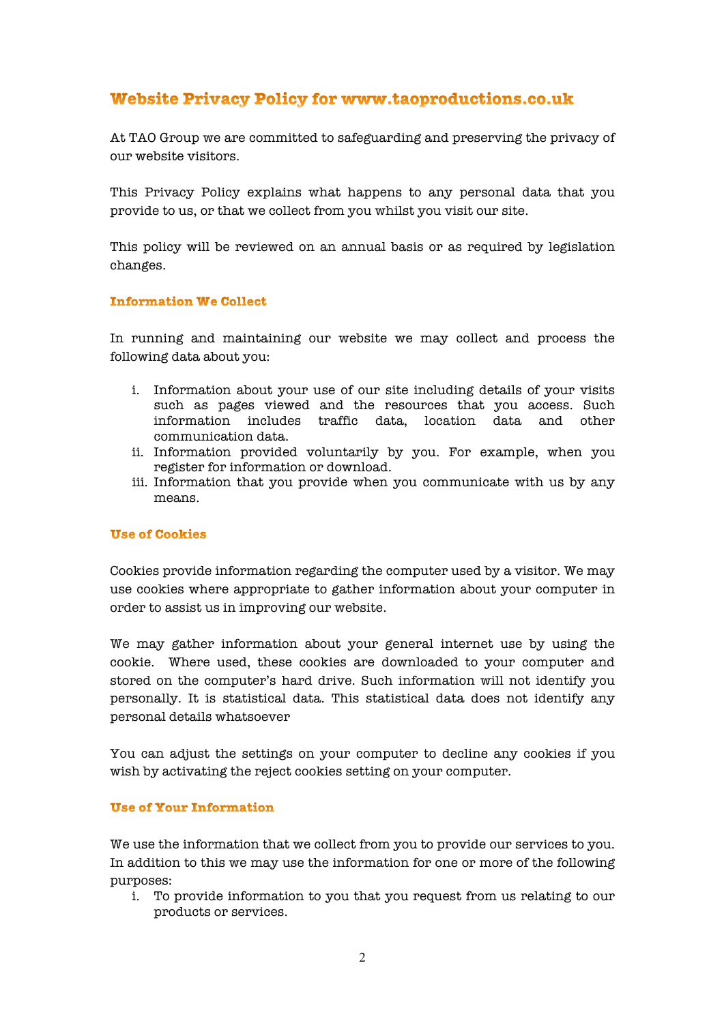# Website Privacy Policy for www.taoproductions.co.uk

At TAO Group we are committed to safeguarding and preserving the privacy of our website visitors.

This Privacy Policy explains what happens to any personal data that you provide to us, or that we collect from you whilst you visit our site.

This policy will be reviewed on an annual basis or as required by legislation changes.

#### **Information We Collect**

In running and maintaining our website we may collect and process the following data about you:

- i. Information about your use of our site including details of your visits such as pages viewed and the resources that you access. Such information includes traffic data, location data and other communication data.
- ii. Information provided voluntarily by you. For example, when you register for information or download.
- iii. Information that you provide when you communicate with us by any means.

#### **Use of Cookies**

Cookies provide information regarding the computer used by a visitor. We may use cookies where appropriate to gather information about your computer in order to assist us in improving our website.

We may gather information about your general internet use by using the cookie. Where used, these cookies are downloaded to your computer and stored on the computer's hard drive. Such information will not identify you personally. It is statistical data. This statistical data does not identify any personal details whatsoever

You can adjust the settings on your computer to decline any cookies if you wish by activating the reject cookies setting on your computer.

#### **Use of Your Information**

We use the information that we collect from you to provide our services to you. In addition to this we may use the information for one or more of the following purposes:

i. To provide information to you that you request from us relating to our products or services.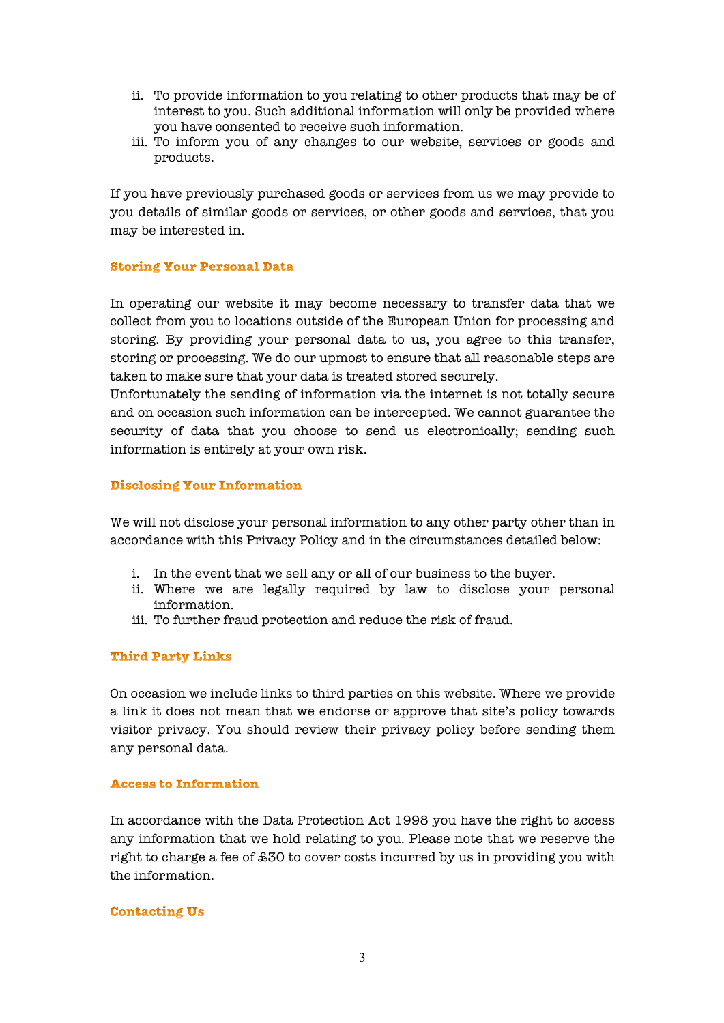- ii. To provide information to you relating to other products that may be of interest to you. Such additional information will only be provided where you have consented to receive such information.
- iii. To inform you of any changes to our website, services or goods and products.

If you have previously purchased goods or services from us we may provide to you details of similar goods or services, or other goods and services, that you may be interested in.

# **Storing Your Personal Data**

In operating our website it may become necessary to transfer data that we collect from you to locations outside of the European Union for processing and storing. By providing your personal data to us, you agree to this transfer, storing or processing. We do our upmost to ensure that all reasonable steps are taken to make sure that your data is treated stored securely.

Unfortunately the sending of information via the internet is not totally secure and on occasion such information can be intercepted. We cannot guarantee the security of data that you choose to send us electronically; sending such information is entirely at your own risk.

# **Disclosing Your Information**

We will not disclose your personal information to any other party other than in accordance with this Privacy Policy and in the circumstances detailed below:

- i. In the event that we sell any or all of our business to the buyer.
- ii. Where we are legally required by law to disclose your personal information.
- iii. To further fraud protection and reduce the risk of fraud.

#### **Third Party Links**

On occasion we include links to third parties on this website. Where we provide a link it does not mean that we endorse or approve that site's policy towards visitor privacy. You should review their privacy policy before sending them any personal data.

#### **Access to Information**

In accordance with the Data Protection Act 1998 you have the right to access any information that we hold relating to you. Please note that we reserve the right to charge a fee of £30 to cover costs incurred by us in providing you with the information.

#### **Contacting Us**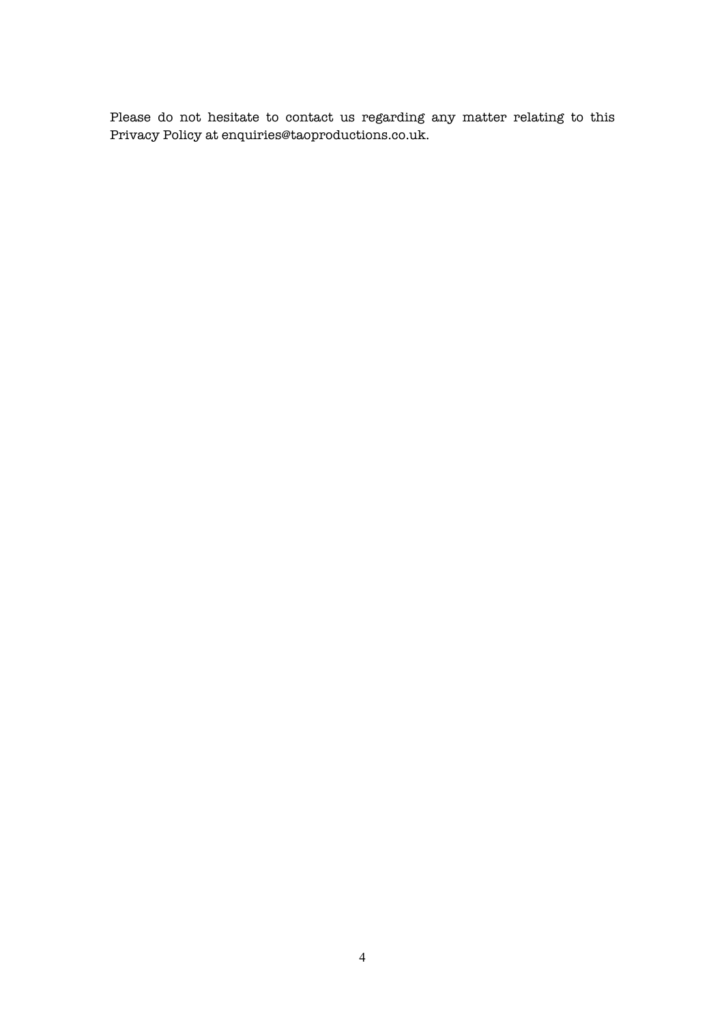Please do not hesitate to contact us regarding any matter relating to this Privacy Policy at enquiries@taoproductions.co.uk.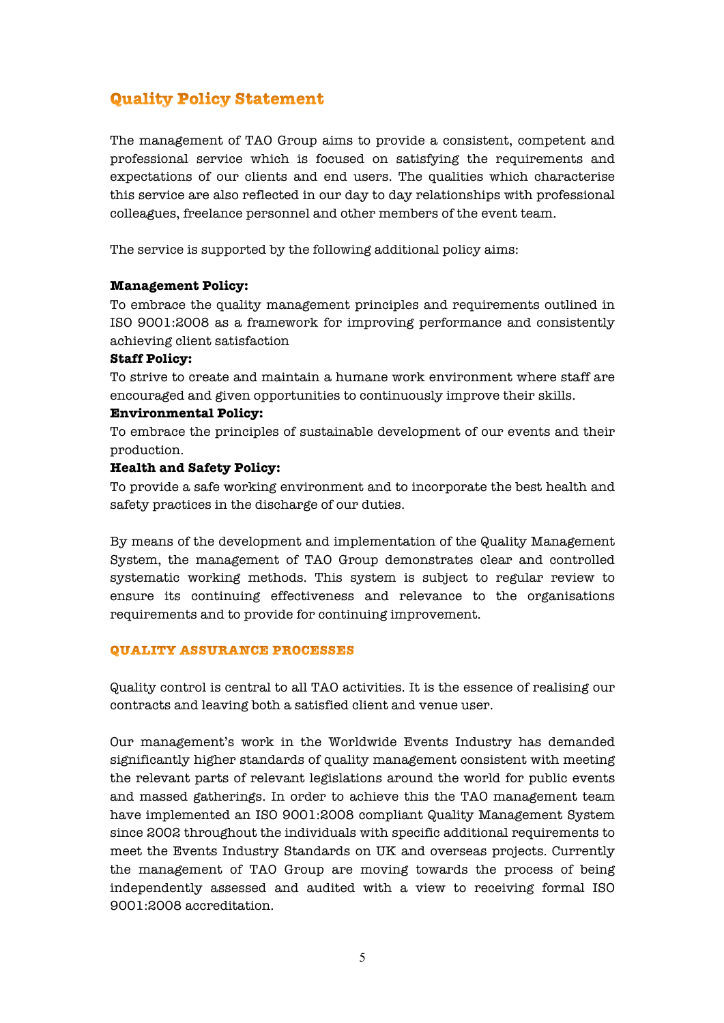# **Quality Policy Statement**

The management of TAO Group aims to provide a consistent, competent and professional service which is focused on satisfying the requirements and expectations of our clients and end users. The qualities which characterise this service are also reflected in our day to day relationships with professional colleagues, freelance personnel and other members of the event team.

The service is supported by the following additional policy aims:

# **Management Policy:**

To embrace the quality management principles and requirements outlined in ISO 9001:2008 as a framework for improving performance and consistently achieving client satisfaction

# **Staff Policy:**

To strive to create and maintain a humane work environment where staff are encouraged and given opportunities to continuously improve their skills.

# **Environmental Policy:**

To embrace the principles of sustainable development of our events and their production.

# **Health and Safety Policy:**

To provide a safe working environment and to incorporate the best health and safety practices in the discharge of our duties.

By means of the development and implementation of the Quality Management System, the management of TAO Group demonstrates clear and controlled systematic working methods. This system is subject to regular review to ensure its continuing effectiveness and relevance to the organisations requirements and to provide for continuing improvement.

#### QUALITY ASSURANCE PROCESSES

Quality control is central to all TAO activities. It is the essence of realising our contracts and leaving both a satisfied client and venue user.

Our management's work in the Worldwide Events Industry has demanded significantly higher standards of quality management consistent with meeting the relevant parts of relevant legislations around the world for public events and massed gatherings. In order to achieve this the TAO management team have implemented an ISO 9001:2008 compliant Quality Management System since 2002 throughout the individuals with specific additional requirements to meet the Events Industry Standards on UK and overseas projects. Currently the management of TAO Group are moving towards the process of being independently assessed and audited with a view to receiving formal ISO 9001:2008 accreditation.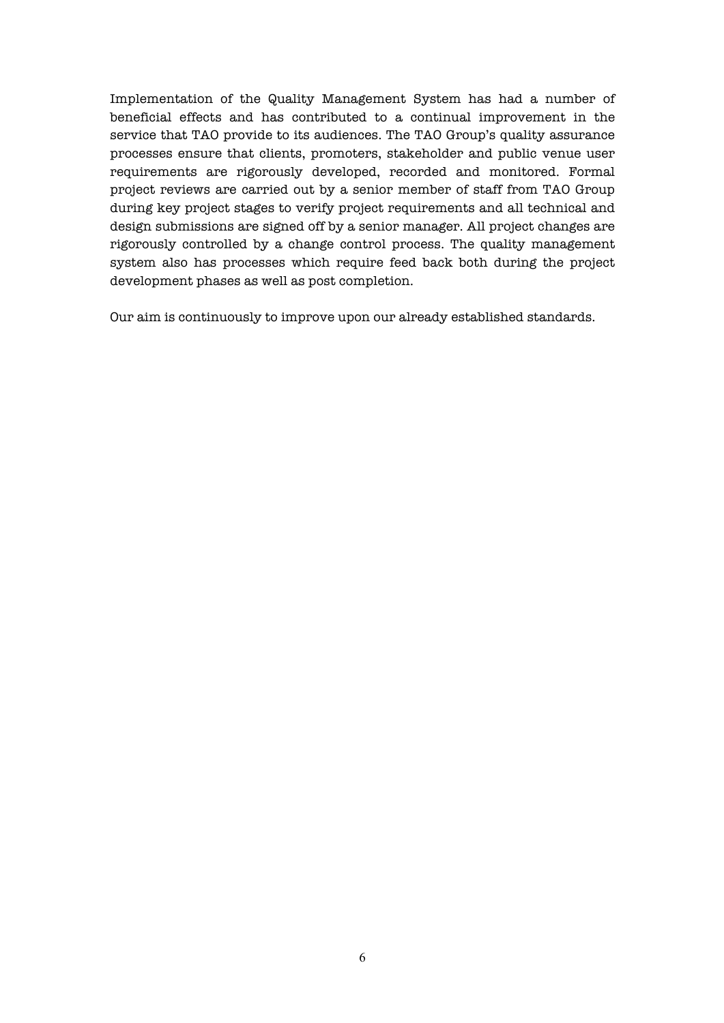Implementation of the Quality Management System has had a number of beneficial effects and has contributed to a continual improvement in the service that TAO provide to its audiences. The TAO Group's quality assurance processes ensure that clients, promoters, stakeholder and public venue user requirements are rigorously developed, recorded and monitored. Formal project reviews are carried out by a senior member of staff from TAO Group during key project stages to verify project requirements and all technical and design submissions are signed off by a senior manager. All project changes are rigorously controlled by a change control process. The quality management system also has processes which require feed back both during the project development phases as well as post completion.

Our aim is continuously to improve upon our already established standards.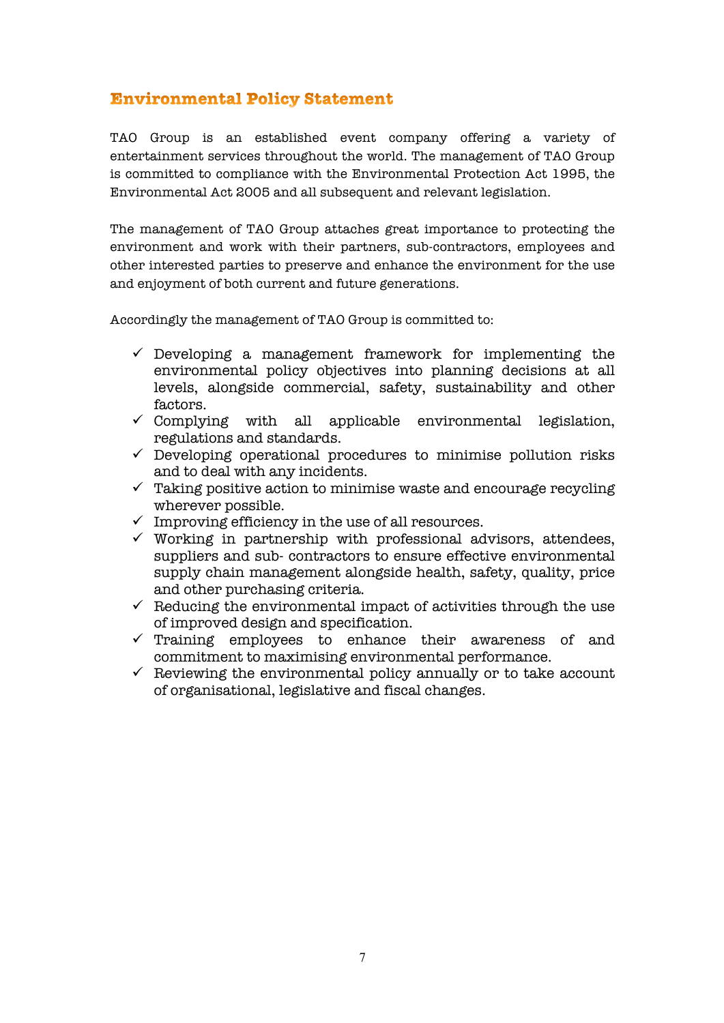# **Environmental Policy Statement**

TAO Group is an established event company offering a variety of entertainment services throughout the world. The management of TAO Group is committed to compliance with the Environmental Protection Act 1995, the Environmental Act 2005 and all subsequent and relevant legislation.

The management of TAO Group attaches great importance to protecting the environment and work with their partners, sub-contractors, employees and other interested parties to preserve and enhance the environment for the use and enjoyment of both current and future generations.

Accordingly the management of TAO Group is committed to:

- $\checkmark$  Developing a management framework for implementing the environmental policy objectives into planning decisions at all levels, alongside commercial, safety, sustainability and other factors.
- $\checkmark$  Complying with all applicable environmental legislation, regulations and standards.
- $\checkmark$  Developing operational procedures to minimise pollution risks and to deal with any incidents.
- $\checkmark$  Taking positive action to minimise waste and encourage recycling wherever possible.
- $\checkmark$  Improving efficiency in the use of all resources.
- $\checkmark$  Working in partnership with professional advisors, attendees, suppliers and sub- contractors to ensure effective environmental supply chain management alongside health, safety, quality, price and other purchasing criteria.
- $\checkmark$  . Reducing the environmental impact of activities through the use of improved design and specification.
- $\checkmark$  Training employees to enhance their awareness of and commitment to maximising environmental performance.
- $\checkmark$  Reviewing the environmental policy annually or to take account of organisational, legislative and fiscal changes.